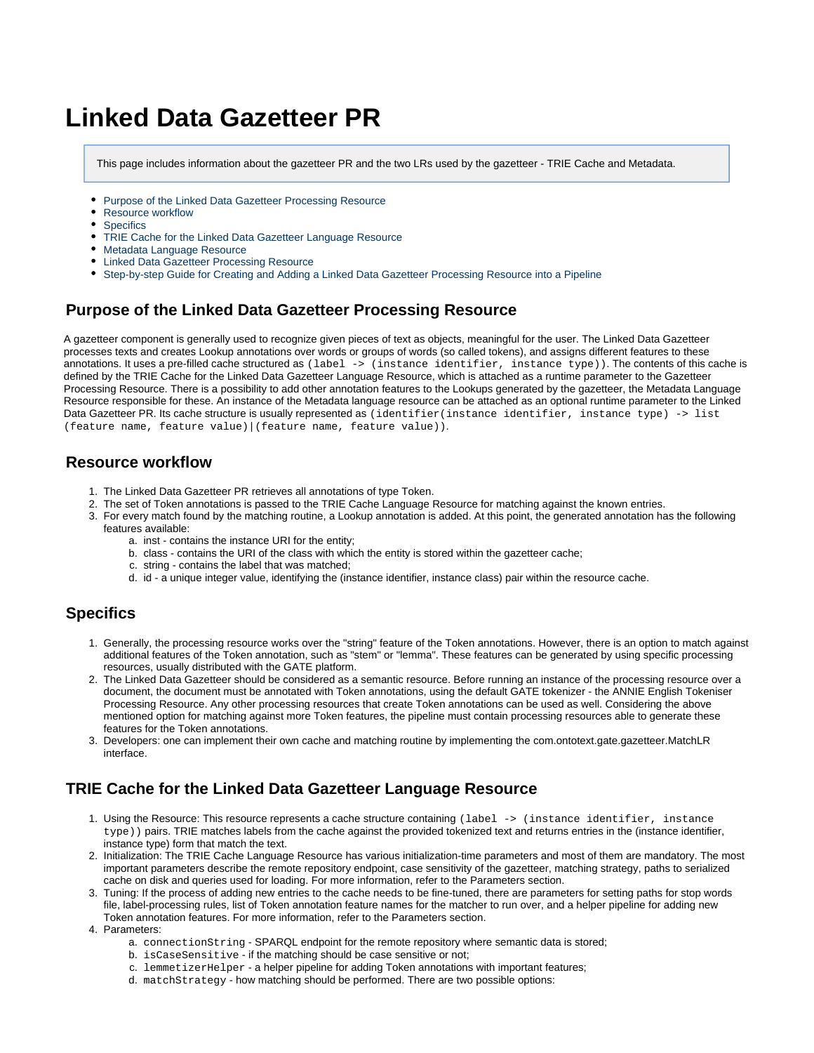# **Linked Data Gazetteer PR**

This page includes information about the gazetteer PR and the two LRs used by the gazetteer - TRIE Cache and Metadata.

- [Purpose of the Linked Data Gazetteer Processing Resource](#page-0-0)
- [Resource workflow](#page-0-1)
- [Specifics](#page-0-2)
- [TRIE Cache for the Linked Data Gazetteer Language Resource](#page-0-3)
- [Metadata Language Resource](#page-1-0)
- [Linked Data Gazetteer Processing Resource](#page-1-1)
- [Step-by-step Guide for Creating and Adding a Linked Data Gazetteer Processing Resource into a Pipeline](#page-1-2)

## <span id="page-0-0"></span>**Purpose of the Linked Data Gazetteer Processing Resource**

A gazetteer component is generally used to recognize given pieces of text as objects, meaningful for the user. The Linked Data Gazetteer processes texts and creates Lookup annotations over words or groups of words (so called tokens), and assigns different features to these annotations. It uses a pre-filled cache structured as (label -> (instance identifier, instance type)). The contents of this cache is defined by the TRIE Cache for the Linked Data Gazetteer Language Resource, which is attached as a runtime parameter to the Gazetteer Processing Resource. There is a possibility to add other annotation features to the Lookups generated by the gazetteer, the Metadata Language Resource responsible for these. An instance of the Metadata language resource can be attached as an optional runtime parameter to the Linked Data Gazetteer PR. Its cache structure is usually represented as (identifier(instance identifier, instance type) -> list (feature name, feature value)|(feature name, feature value)).

#### <span id="page-0-1"></span>**Resource workflow**

- 1. The Linked Data Gazetteer PR retrieves all annotations of type Token.
- 2. The set of Token annotations is passed to the TRIE Cache Language Resource for matching against the known entries.
- 3. For every match found by the matching routine, a Lookup annotation is added. At this point, the generated annotation has the following features available:
	- a. inst contains the instance URI for the entity;
	- b. class contains the URI of the class with which the entity is stored within the gazetteer cache;
	- c. string contains the label that was matched;
	- d. id a unique integer value, identifying the (instance identifier, instance class) pair within the resource cache.

## <span id="page-0-2"></span>**Specifics**

- 1. Generally, the processing resource works over the "string" feature of the Token annotations. However, there is an option to match against additional features of the Token annotation, such as "stem" or "lemma". These features can be generated by using specific processing resources, usually distributed with the GATE platform.
- 2. The Linked Data Gazetteer should be considered as a semantic resource. Before running an instance of the processing resource over a document, the document must be annotated with Token annotations, using the default GATE tokenizer - the ANNIE English Tokeniser Processing Resource. Any other processing resources that create Token annotations can be used as well. Considering the above mentioned option for matching against more Token features, the pipeline must contain processing resources able to generate these features for the Token annotations.
- 3. Developers: one can implement their own cache and matching routine by implementing the com.ontotext.gate.gazetteer.MatchLR interface.

# <span id="page-0-3"></span>**TRIE Cache for the Linked Data Gazetteer Language Resource**

- 1. Using the Resource: This resource represents a cache structure containing (label -> (instance identifier, instance type)) pairs. TRIE matches labels from the cache against the provided tokenized text and returns entries in the (instance identifier, instance type) form that match the text.
- 2. Initialization: The TRIE Cache Language Resource has various initialization-time parameters and most of them are mandatory. The most important parameters describe the remote repository endpoint, case sensitivity of the gazetteer, matching strategy, paths to serialized cache on disk and queries used for loading. For more information, refer to the Parameters section.
- 3. Tuning: If the process of adding new entries to the cache needs to be fine-tuned, there are parameters for setting paths for stop words file, label-processing rules, list of Token annotation feature names for the matcher to run over, and a helper pipeline for adding new Token annotation features. For more information, refer to the Parameters section.
- 4. Parameters:
	- a. connectionString SPARQL endpoint for the remote repository where semantic data is stored;
	- b. isCaseSensitive if the matching should be case sensitive or not;
	- c. lemmetizerHelper a helper pipeline for adding Token annotations with important features;
	- d. matchStrategy how matching should be performed. There are two possible options: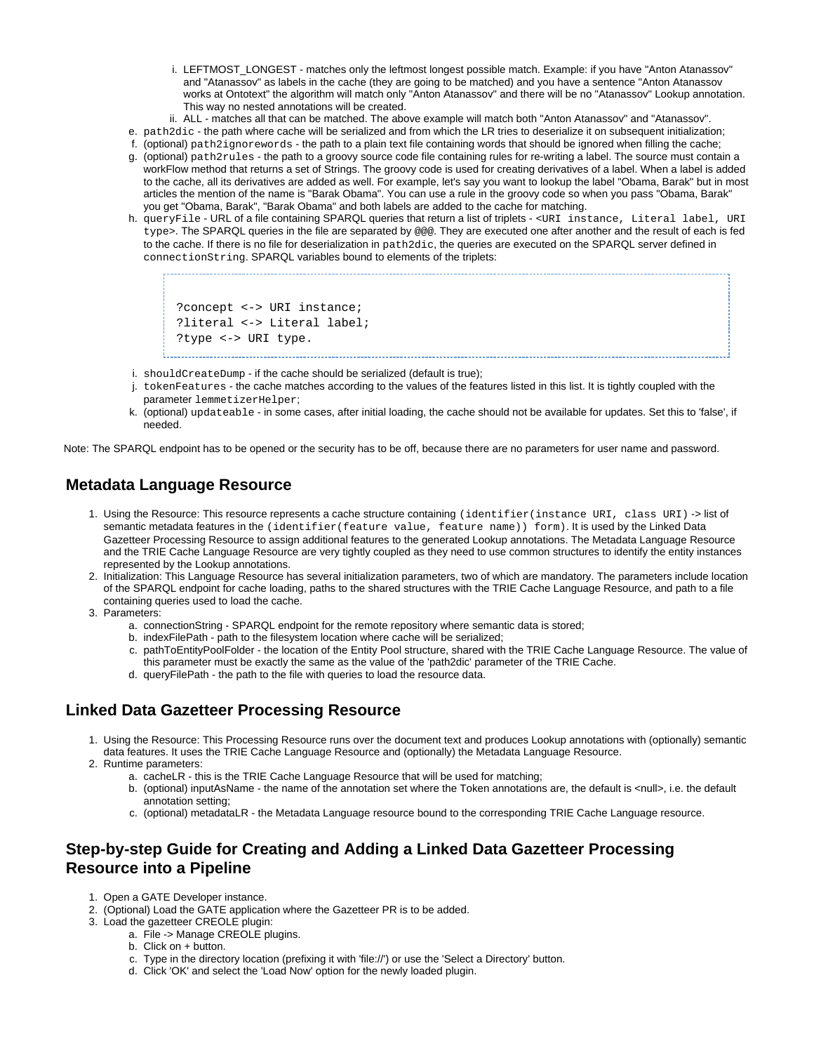- i. LEFTMOST\_LONGEST matches only the leftmost longest possible match. Example: if you have "Anton Atanassov" and "Atanassov" as labels in the cache (they are going to be matched) and you have a sentence "Anton Atanassov works at Ontotext" the algorithm will match only "Anton Atanassov" and there will be no "Atanassov" Lookup annotation. This way no nested annotations will be created.
- ii. ALL matches all that can be matched. The above example will match both "Anton Atanassov" and "Atanassov".
- e. path2dic the path where cache will be serialized and from which the LR tries to deserialize it on subsequent initialization;
- f. (optional) path2ignorewords the path to a plain text file containing words that should be ignored when filling the cache;
- g. (optional) path2rules the path to a groovy source code file containing rules for re-writing a label. The source must contain a workFlow method that returns a set of Strings. The groovy code is used for creating derivatives of a label. When a label is added to the cache, all its derivatives are added as well. For example, let's say you want to lookup the label "Obama, Barak" but in most articles the mention of the name is "Barak Obama". You can use a rule in the groovy code so when you pass "Obama, Barak" you get "Obama, Barak", "Barak Obama" and both labels are added to the cache for matching.
- h. queryFile URL of a file containing SPARQL queries that return a list of triplets <URI instance, Literal label, URI type>. The SPARQL queries in the file are separated by @@@. They are executed one after another and the result of each is fed to the cache. If there is no file for deserialization in path2dic, the queries are executed on the SPARQL server defined in connectionString. SPARQL variables bound to elements of the triplets:

?concept <-> URI instance; ?literal <-> Literal label; ?type <-> URI type.

- - i. shouldCreateDump if the cache should be serialized (default is true);
	- j. tokenFeatures the cache matches according to the values of the features listed in this list. It is tightly coupled with the parameter lemmetizerHelper;
	- k. (optional) updateable in some cases, after initial loading, the cache should not be available for updates. Set this to 'false', if needed.

Note: The SPARQL endpoint has to be opened or the security has to be off, because there are no parameters for user name and password.

## <span id="page-1-0"></span>**Metadata Language Resource**

- 1. Using the Resource: This resource represents a cache structure containing (identifier(instance URI, class URI) -> list of semantic metadata features in the (identifier(feature value, feature name)) form). It is used by the Linked Data Gazetteer Processing Resource to assign additional features to the generated Lookup annotations. The Metadata Language Resource and the TRIE Cache Language Resource are very tightly coupled as they need to use common structures to identify the entity instances represented by the Lookup annotations.
- 2. Initialization: This Language Resource has several initialization parameters, two of which are mandatory. The parameters include location of the SPARQL endpoint for cache loading, paths to the shared structures with the TRIE Cache Language Resource, and path to a file containing queries used to load the cache.
- 3. Parameters:
	- a. connectionString SPARQL endpoint for the remote repository where semantic data is stored;
	- b. indexFilePath path to the filesystem location where cache will be serialized;
	- c. pathToEntityPoolFolder the location of the Entity Pool structure, shared with the TRIE Cache Language Resource. The value of this parameter must be exactly the same as the value of the 'path2dic' parameter of the TRIE Cache.
	- d. queryFilePath the path to the file with queries to load the resource data.

## <span id="page-1-1"></span>**Linked Data Gazetteer Processing Resource**

- 1. Using the Resource: This Processing Resource runs over the document text and produces Lookup annotations with (optionally) semantic data features. It uses the TRIE Cache Language Resource and (optionally) the Metadata Language Resource.
- 2. Runtime parameters:
	- a. cacheLR this is the TRIE Cache Language Resource that will be used for matching;
	- b. (optional) inputAsName the name of the annotation set where the Token annotations are, the default is <null>, i.e. the default annotation setting;
	- c. (optional) metadataLR the Metadata Language resource bound to the corresponding TRIE Cache Language resource.

## <span id="page-1-2"></span>**Step-by-step Guide for Creating and Adding a Linked Data Gazetteer Processing Resource into a Pipeline**

- 1. Open a GATE Developer instance.
- 2. (Optional) Load the GATE application where the Gazetteer PR is to be added.
- 3. Load the gazetteer CREOLE plugin:
	- a. File -> Manage CREOLE plugins.
		- b. Click on + button.
		- c. Type in the directory location (prefixing it with 'file://') or use the 'Select a Directory' button.
		- d. Click 'OK' and select the 'Load Now' option for the newly loaded plugin.